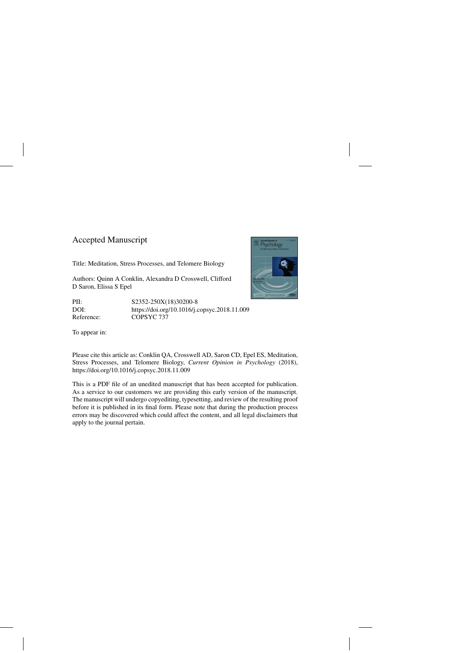# Accepted Manuscript

Title: Meditation, Stress Processes, and Telomere Biology

Authors: Quinn A Conklin, Alexandra D Crosswell, Clifford D Saron, Elissa S Epel

PII: S2352-250X(18)30200-8 DOI:<https://doi.org/10.1016/j.copsyc.2018.11.009> Reference: COPSYC 737

To appear in:



Please cite this article as: Conklin QA, Crosswell AD, Saron CD, Epel ES, Meditation, Stress Processes, and Telomere Biology, *Current Opinion in Psychology* (2018), <https://doi.org/10.1016/j.copsyc.2018.11.009>

This is a PDF file of an unedited manuscript that has been accepted for publication. As a service to our customers we are providing this early version of the manuscript. The manuscript will undergo copyediting, typesetting, and review of the resulting proof before it is published in its final form. Please note that during the production process errors may be discovered which could affect the content, and all legal disclaimers that apply to the journal pertain.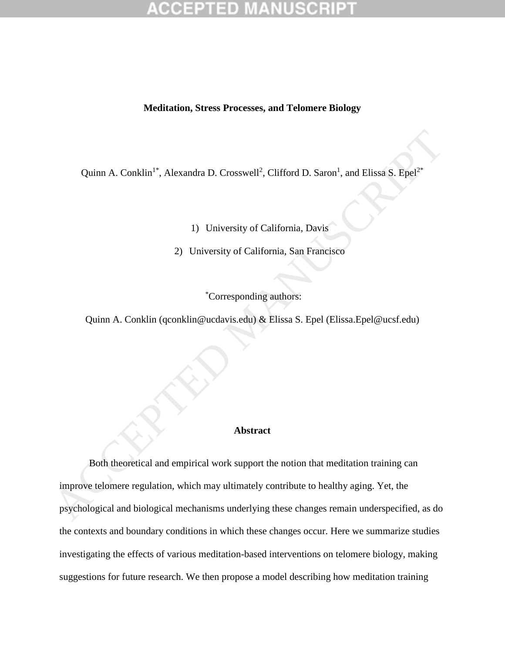### **Meditation, Stress Processes, and Telomere Biology**

Quinn A. Conklin<sup>1\*</sup>, Alexandra D. Crosswell<sup>2</sup>, Clifford D. Saron<sup>1</sup>, and Elissa S. Epel<sup>2\*</sup>

1) University of California, Davis

2) University of California, San Francisco

\*Corresponding authors:

Quinn A. Conklin (qconklin@ucdavis.edu) & Elissa S. Epel (Elissa.Epel@ucsf.edu)

## **Abstract**

Both theoretical and empirical work support the notion that meditation training can improve telomere regulation, which may ultimately contribute to healthy aging. Yet, the psychological and biological mechanisms underlying these changes remain underspecified, as do the contexts and boundary conditions in which these changes occur. Here we summarize studies investigating the effects of various meditation-based interventions on telomere biology, making suggestions for future research. We then propose a model describing how meditation training Quinn A. Conklin<sup>1</sup>", Alexandra D. Crosswell<sup>2</sup>, Clifford D. Saron<sup>1</sup>, and Elissa S. Epel<sup>2</sup><br>
1) University of California, Davis<br>
2) University of California, San Francisco<br>
2) University of California, San Francisco<br>
2)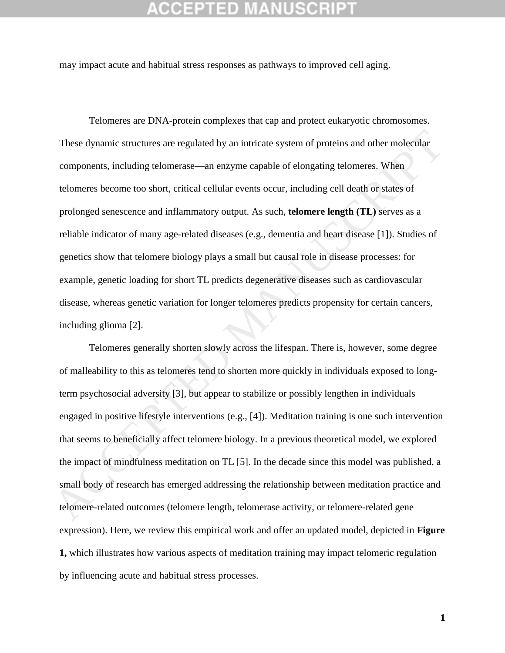may impact acute and habitual stress responses as pathways to improved cell aging.

Telomeres are DNA-protein complexes that cap and protect eukaryotic chromosomes. These dynamic structures are regulated by an intricate system of proteins and other molecular components, including telomerase—an enzyme capable of elongating telomeres. When telomeres become too short, critical cellular events occur, including cell death or states of prolonged senescence and inflammatory output. As such, **telomere length (TL)** serves as a reliable indicator of many age-related diseases (e.g., dementia and heart disease [1]). Studies of genetics show that telomere biology plays a small but causal role in disease processes: for example, genetic loading for short TL predicts degenerative diseases such as cardiovascular disease, whereas genetic variation for longer telomeres predicts propensity for certain cancers, including glioma [2]. These dynamic structures are regulated by an intricate system of proteins and other molecular<br>components, including telomerase—an enzyme capable of elongating telomeres. When<br>telomeres become too short, critical cellular

Telomeres generally shorten slowly across the lifespan. There is, however, some degree of malleability to this as telomeres tend to shorten more quickly in individuals exposed to longterm psychosocial adversity [3], but appear to stabilize or possibly lengthen in individuals engaged in positive lifestyle interventions (e.g., [4]). Meditation training is one such intervention that seems to beneficially affect telomere biology. In a previous theoretical model, we explored the impact of mindfulness meditation on TL [5]. In the decade since this model was published, a small body of research has emerged addressing the relationship between meditation practice and telomere-related outcomes (telomere length, telomerase activity, or telomere-related gene expression). Here, we review this empirical work and offer an updated model, depicted in **Figure 1,** which illustrates how various aspects of meditation training may impact telomeric regulation by influencing acute and habitual stress processes.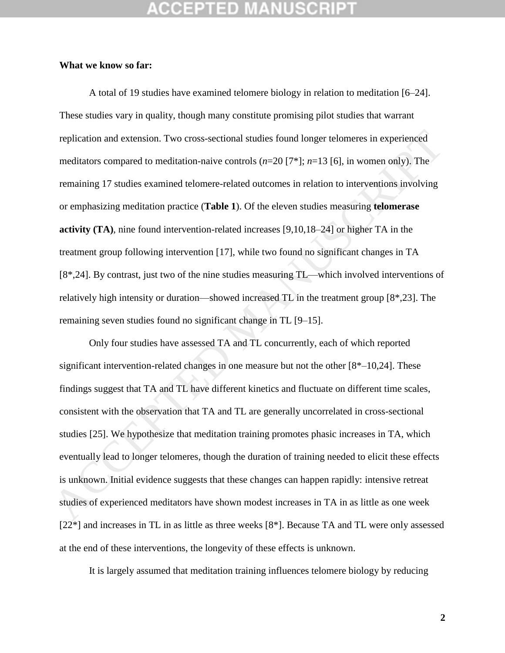# CEPTED

## **What we know so far:**

A total of 19 studies have examined telomere biology in relation to meditation [6–24]. These studies vary in quality, though many constitute promising pilot studies that warrant replication and extension. Two cross-sectional studies found longer telomeres in experienced meditators compared to meditation-naive controls (*n*=20 [7\*]; *n*=13 [6], in women only). The remaining 17 studies examined telomere-related outcomes in relation to interventions involving or emphasizing meditation practice (**Table 1**). Of the eleven studies measuring **telomerase activity (TA)**, nine found intervention-related increases [9,10,18–24] or higher TA in the treatment group following intervention [17], while two found no significant changes in TA [8\*,24]. By contrast, just two of the nine studies measuring TL—which involved interventions of relatively high intensity or duration—showed increased TL in the treatment group [8\*,23]. The remaining seven studies found no significant change in TL [9–15]. replication and extension. Two cross-sectional studies found longer telomeres in experienced<br>meditators compared to meditation-naive controls ( $n=20$ )  $[7^a]$ ;  $n=13$  [6], in women only). The<br>remaining 17 studies examined

Only four studies have assessed TA and TL concurrently, each of which reported significant intervention-related changes in one measure but not the other [8\*–10,24]. These findings suggest that TA and TL have different kinetics and fluctuate on different time scales, consistent with the observation that TA and TL are generally uncorrelated in cross-sectional studies [25]. We hypothesize that meditation training promotes phasic increases in TA, which eventually lead to longer telomeres, though the duration of training needed to elicit these effects is unknown. Initial evidence suggests that these changes can happen rapidly: intensive retreat studies of experienced meditators have shown modest increases in TA in as little as one week [22\*] and increases in TL in as little as three weeks [8\*]. Because TA and TL were only assessed at the end of these interventions, the longevity of these effects is unknown.

It is largely assumed that meditation training influences telomere biology by reducing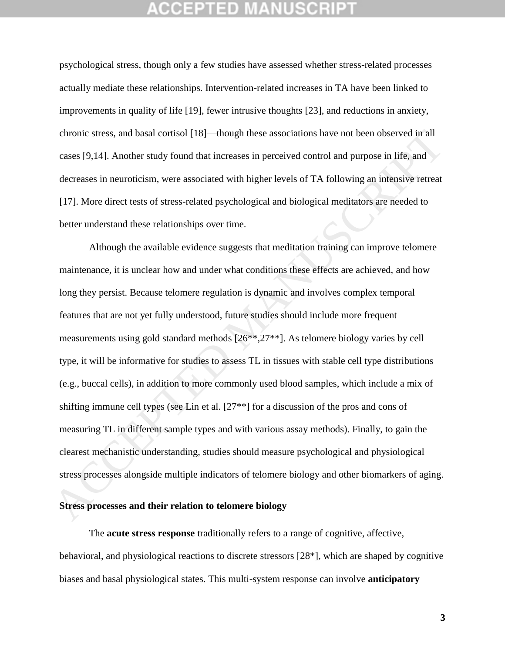psychological stress, though only a few studies have assessed whether stress-related processes actually mediate these relationships. Intervention-related increases in TA have been linked to improvements in quality of life [19], fewer intrusive thoughts [23], and reductions in anxiety, chronic stress, and basal cortisol [18]—though these associations have not been observed in all cases [9,14]. Another study found that increases in perceived control and purpose in life, and decreases in neuroticism, were associated with higher levels of TA following an intensive retreat [17]. More direct tests of stress-related psychological and biological meditators are needed to better understand these relationships over time.

Although the available evidence suggests that meditation training can improve telomere maintenance, it is unclear how and under what conditions these effects are achieved, and how long they persist. Because telomere regulation is dynamic and involves complex temporal features that are not yet fully understood, future studies should include more frequent measurements using gold standard methods [26\*\*,27\*\*]. As telomere biology varies by cell type, it will be informative for studies to assess TL in tissues with stable cell type distributions (e.g., buccal cells), in addition to more commonly used blood samples, which include a mix of shifting immune cell types (see Lin et al. [27\*\*] for a discussion of the pros and cons of measuring TL in different sample types and with various assay methods). Finally, to gain the clearest mechanistic understanding, studies should measure psychological and physiological stress processes alongside multiple indicators of telomere biology and other biomarkers of aging. chronic stress, and basal cortisol [18]—though these associations have not been observed in all<br>cases [9,14]. Another study found that increases in perceived control and purpose in life, and<br>decreases in neuroticism, were

## **Stress processes and their relation to telomere biology**

The **acute stress response** traditionally refers to a range of cognitive, affective, behavioral, and physiological reactions to discrete stressors [28\*], which are shaped by cognitive biases and basal physiological states. This multi-system response can involve **anticipatory**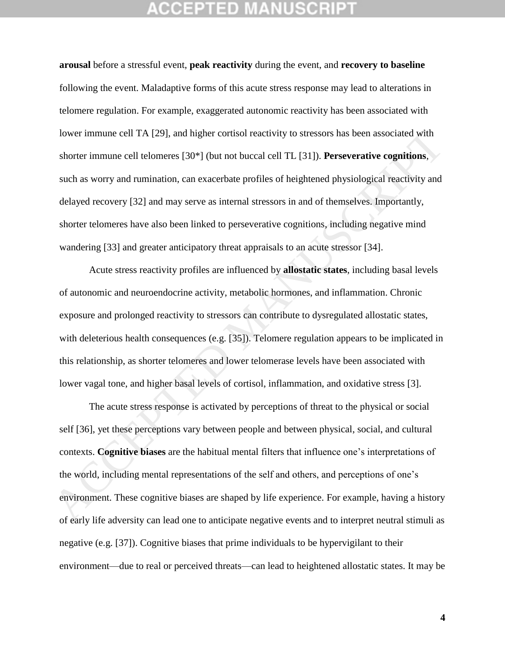# CEPTED

**arousal** before a stressful event, **peak reactivity** during the event, and **recovery to baseline** following the event. Maladaptive forms of this acute stress response may lead to alterations in telomere regulation. For example, exaggerated autonomic reactivity has been associated with lower immune cell TA [29], and higher cortisol reactivity to stressors has been associated with shorter immune cell telomeres [30\*] (but not buccal cell TL [31]). **Perseverative cognitions**, such as worry and rumination, can exacerbate profiles of heightened physiological reactivity and delayed recovery [32] and may serve as internal stressors in and of themselves. Importantly, shorter telomeres have also been linked to perseverative cognitions, including negative mind wandering [33] and greater anticipatory threat appraisals to an acute stressor [34]. lower immune cell TA [29], and higher cortisol reactivity to stressors has been associated with<br>shorter immune cell telomeres [30\*] (but not buccal cell TL [31]). Perseverative eognitions,<br>such as worry and rumination, can

Acute stress reactivity profiles are influenced by **allostatic states**, including basal levels of autonomic and neuroendocrine activity, metabolic hormones, and inflammation. Chronic exposure and prolonged reactivity to stressors can contribute to dysregulated allostatic states, with deleterious health consequences (e.g. [35]). Telomere regulation appears to be implicated in this relationship, as shorter telomeres and lower telomerase levels have been associated with lower vagal tone, and higher basal levels of cortisol, inflammation, and oxidative stress [3].

The acute stress response is activated by perceptions of threat to the physical or social self [36], yet these perceptions vary between people and between physical, social, and cultural contexts. **Cognitive biases** are the habitual mental filters that influence one's interpretations of the world, including mental representations of the self and others, and perceptions of one's environment. These cognitive biases are shaped by life experience. For example, having a history of early life adversity can lead one to anticipate negative events and to interpret neutral stimuli as negative (e.g. [37]). Cognitive biases that prime individuals to be hypervigilant to their environment—due to real or perceived threats—can lead to heightened allostatic states. It may be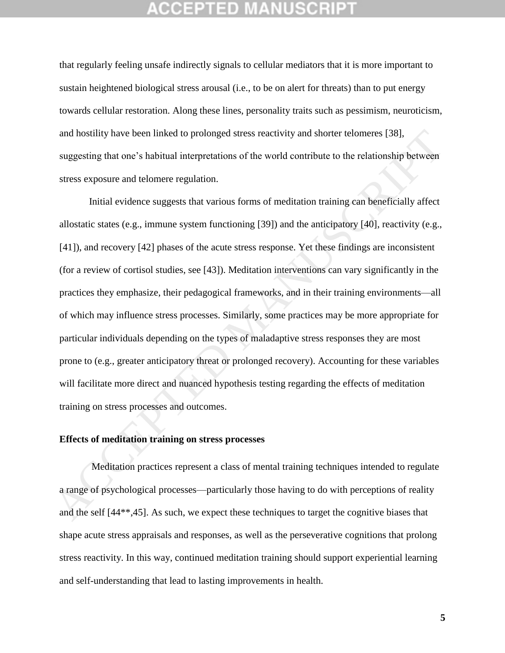that regularly feeling unsafe indirectly signals to cellular mediators that it is more important to sustain heightened biological stress arousal (i.e., to be on alert for threats) than to put energy towards cellular restoration. Along these lines, personality traits such as pessimism, neuroticism, and hostility have been linked to prolonged stress reactivity and shorter telomeres [38], suggesting that one's habitual interpretations of the world contribute to the relationship between stress exposure and telomere regulation.

Initial evidence suggests that various forms of meditation training can beneficially affect allostatic states (e.g., immune system functioning [39]) and the anticipatory [40], reactivity (e.g., [41]), and recovery [42] phases of the acute stress response. Yet these findings are inconsistent (for a review of cortisol studies, see [43]). Meditation interventions can vary significantly in the practices they emphasize, their pedagogical frameworks, and in their training environments—all of which may influence stress processes. Similarly, some practices may be more appropriate for particular individuals depending on the types of maladaptive stress responses they are most prone to (e.g., greater anticipatory threat or prolonged recovery). Accounting for these variables will facilitate more direct and nuanced hypothesis testing regarding the effects of meditation training on stress processes and outcomes. and hostility have been linked to prolonged stress reactivity and shorter telomeres [38].<br>
suggesting that one's habitual interpretations of the world contribute to the relationship between<br>
stress exposure and telomere r

## **Effects of meditation training on stress processes**

Meditation practices represent a class of mental training techniques intended to regulate a range of psychological processes—particularly those having to do with perceptions of reality and the self [44\*\*,45]. As such, we expect these techniques to target the cognitive biases that shape acute stress appraisals and responses, as well as the perseverative cognitions that prolong stress reactivity. In this way, continued meditation training should support experiential learning and self-understanding that lead to lasting improvements in health.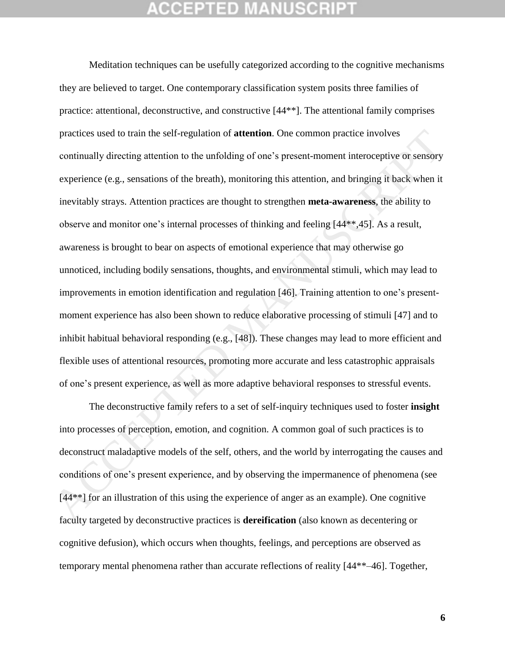Meditation techniques can be usefully categorized according to the cognitive mechanisms they are believed to target. One contemporary classification system posits three families of practice: attentional, deconstructive, and constructive [44\*\*]. The attentional family comprises practices used to train the self-regulation of **attention**. One common practice involves continually directing attention to the unfolding of one's present-moment interoceptive or sensory experience (e.g., sensations of the breath), monitoring this attention, and bringing it back when it inevitably strays. Attention practices are thought to strengthen **meta-awareness**, the ability to observe and monitor one's internal processes of thinking and feeling [44\*\*,45]. As a result, awareness is brought to bear on aspects of emotional experience that may otherwise go unnoticed, including bodily sensations, thoughts, and environmental stimuli, which may lead to improvements in emotion identification and regulation [46]. Training attention to one's presentmoment experience has also been shown to reduce elaborative processing of stimuli [47] and to inhibit habitual behavioral responding (e.g., [48]). These changes may lead to more efficient and flexible uses of attentional resources, promoting more accurate and less catastrophic appraisals of one's present experience, as well as more adaptive behavioral responses to stressful events. practices used to train the self-regulation of **attention**. One common practice involves<br>continually directing attention to the unfolding of one's present-moment interoceptive or sensory<br>experience (e.g., sensations of th

The deconstructive family refers to a set of self-inquiry techniques used to foster **insight** into processes of perception, emotion, and cognition. A common goal of such practices is to deconstruct maladaptive models of the self, others, and the world by interrogating the causes and conditions of one's present experience, and by observing the impermanence of phenomena (see [44<sup>\*\*</sup>] for an illustration of this using the experience of anger as an example). One cognitive faculty targeted by deconstructive practices is **dereification** (also known as decentering or cognitive defusion), which occurs when thoughts, feelings, and perceptions are observed as temporary mental phenomena rather than accurate reflections of reality [44\*\*–46]. Together,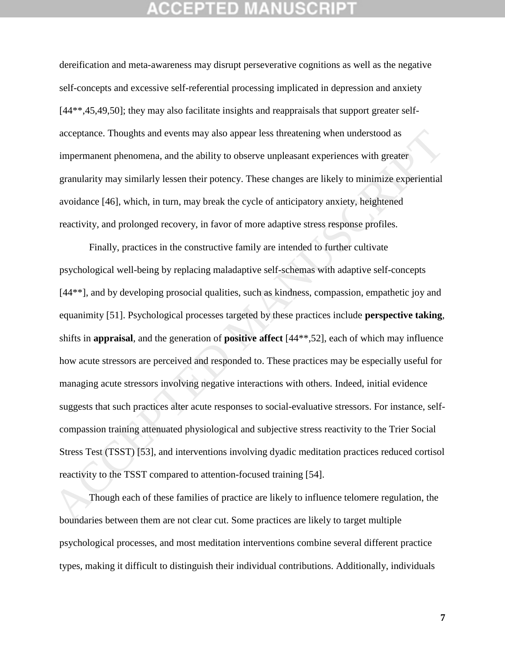dereification and meta-awareness may disrupt perseverative cognitions as well as the negative self-concepts and excessive self-referential processing implicated in depression and anxiety [44\*\*,45,49,50]; they may also facilitate insights and reappraisals that support greater selfacceptance. Thoughts and events may also appear less threatening when understood as impermanent phenomena, and the ability to observe unpleasant experiences with greater granularity may similarly lessen their potency. These changes are likely to minimize experiential avoidance [46], which, in turn, may break the cycle of anticipatory anxiety, heightened reactivity, and prolonged recovery, in favor of more adaptive stress response profiles.

Finally, practices in the constructive family are intended to further cultivate psychological well-being by replacing maladaptive self-schemas with adaptive self-concepts [44\*\*], and by developing prosocial qualities, such as kindness, compassion, empathetic joy and equanimity [51]. Psychological processes targeted by these practices include **perspective taking**, shifts in **appraisal**, and the generation of **positive affect** [44\*\*,52], each of which may influence how acute stressors are perceived and responded to. These practices may be especially useful for managing acute stressors involving negative interactions with others. Indeed, initial evidence suggests that such practices alter acute responses to social-evaluative stressors. For instance, selfcompassion training attenuated physiological and subjective stress reactivity to the Trier Social Stress Test (TSST) [53], and interventions involving dyadic meditation practices reduced cortisol reactivity to the TSST compared to attention-focused training [54]. acceptance. Thoughts and events may also appear less threatening when understood as<br>impermanent phenomena, and the ability to observe unpleasant experiences with greater<br>granularity may similarly lessen their potency. The

Though each of these families of practice are likely to influence telomere regulation, the boundaries between them are not clear cut. Some practices are likely to target multiple psychological processes, and most meditation interventions combine several different practice types, making it difficult to distinguish their individual contributions. Additionally, individuals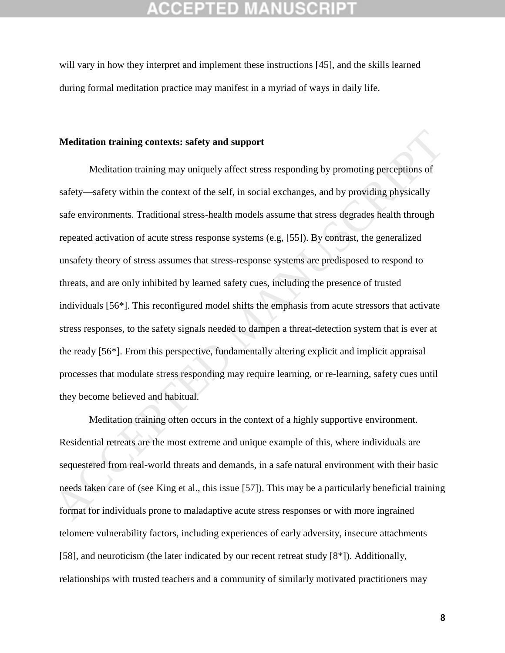will vary in how they interpret and implement these instructions [45], and the skills learned during formal meditation practice may manifest in a myriad of ways in daily life.

## **Meditation training contexts: safety and support**

Meditation training may uniquely affect stress responding by promoting perceptions of safety—safety within the context of the self, in social exchanges, and by providing physically safe environments. Traditional stress-health models assume that stress degrades health through repeated activation of acute stress response systems (e.g, [55]). By contrast, the generalized unsafety theory of stress assumes that stress-response systems are predisposed to respond to threats, and are only inhibited by learned safety cues, including the presence of trusted individuals [56\*]. This reconfigured model shifts the emphasis from acute stressors that activate stress responses, to the safety signals needed to dampen a threat-detection system that is ever at the ready [56\*]. From this perspective, fundamentally altering explicit and implicit appraisal processes that modulate stress responding may require learning, or re-learning, safety cues until they become believed and habitual. Meditation training contexts: safety and support<br>
Meditation training may uniquely affect stress responding by promoting perceptions of<br>
safety—safety within the context of the self, in social exchanges, and by providing

Meditation training often occurs in the context of a highly supportive environment. Residential retreats are the most extreme and unique example of this, where individuals are sequestered from real-world threats and demands, in a safe natural environment with their basic needs taken care of (see King et al., this issue [57]). This may be a particularly beneficial training format for individuals prone to maladaptive acute stress responses or with more ingrained telomere vulnerability factors, including experiences of early adversity, insecure attachments [58], and neuroticism (the later indicated by our recent retreat study [8\*]). Additionally, relationships with trusted teachers and a community of similarly motivated practitioners may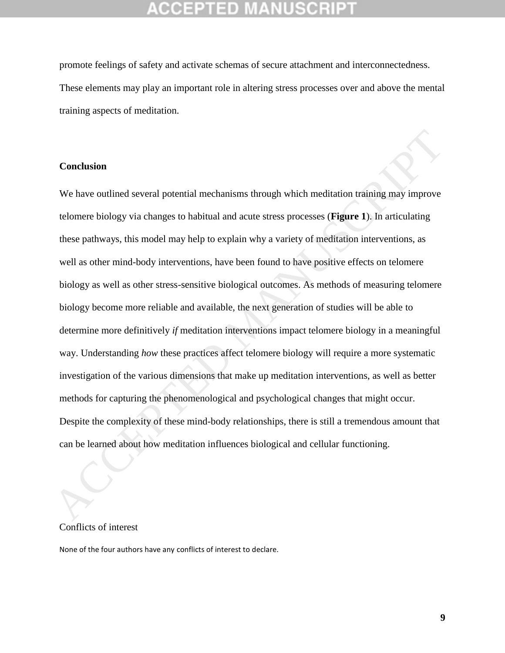promote feelings of safety and activate schemas of secure attachment and interconnectedness. These elements may play an important role in altering stress processes over and above the mental training aspects of meditation.

## **Conclusion**

We have outlined several potential mechanisms through which meditation training may improve telomere biology via changes to habitual and acute stress processes (**Figure 1**). In articulating these pathways, this model may help to explain why a variety of meditation interventions, as well as other mind-body interventions, have been found to have positive effects on telomere biology as well as other stress-sensitive biological outcomes. As methods of measuring telomere biology become more reliable and available, the next generation of studies will be able to determine more definitively *if* meditation interventions impact telomere biology in a meaningful way. Understanding *how* these practices affect telomere biology will require a more systematic investigation of the various dimensions that make up meditation interventions, as well as better methods for capturing the phenomenological and psychological changes that might occur. Despite the complexity of these mind-body relationships, there is still a tremendous amount that can be learned about how meditation influences biological and cellular functioning. **Conclusion**<br>We have outlined several potential mechanisms through which meditation training may improve<br>telomere biology via changes to habitual and acute stress processes (**Figure 1**). In articulating<br>these pathways, thi

## Conflicts of interest

None of the four authors have any conflicts of interest to declare.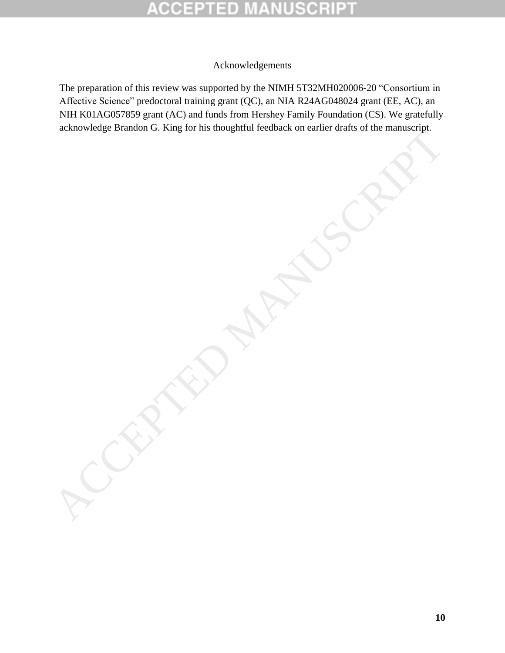# D

# Acknowledgements

The preparation of this review was supported by the NIMH 5T32MH020006-20 "Consortium in Affective Science" predoctoral training grant (QC), an NIA R24AG048024 grant (EE, AC), an NIH K01AG057859 grant (AC) and funds from Hershey Family Foundation (CS). We gratefully acknowledge Brandon G. King for his thoughtful feedback on earlier drafts of the manuscript.<br>
ACCEPTED MANUSCRIPTED MANUSCRIPTED MANUSCRIPTED MANUSCRIPTED MANUSCRIPTED MANUSCRIPTED MANUSCRIPTED MANUSCRIPTED MANUSCRIPTED MA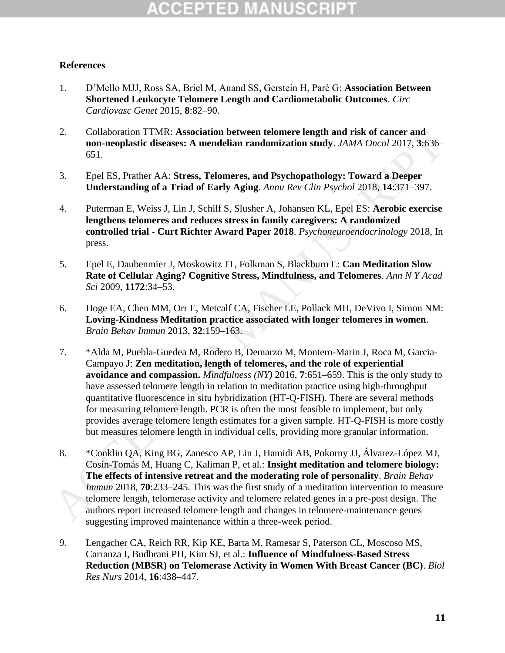# GEPTED

## **References**

- 1. D'Mello MJJ, Ross SA, Briel M, Anand SS, Gerstein H, Paré G: **Association Between Shortened Leukocyte Telomere Length and Cardiometabolic Outcomes**. *Circ Cardiovasc Genet* 2015, **8**:82–90.
- 2. Collaboration TTMR: **Association between telomere length and risk of cancer and non-neoplastic diseases: A mendelian randomization study**. *JAMA Oncol* 2017, **3**:636– 651.
- 3. Epel ES, Prather AA: **Stress, Telomeres, and Psychopathology: Toward a Deeper Understanding of a Triad of Early Aging**. *Annu Rev Clin Psychol* 2018, **14**:371–397.
- 4. Puterman E, Weiss J, Lin J, Schilf S, Slusher A, Johansen KL, Epel ES: **Aerobic exercise lengthens telomeres and reduces stress in family caregivers: A randomized controlled trial - Curt Richter Award Paper 2018**. *Psychoneuroendocrinology* 2018, In press.
- 5. Epel E, Daubenmier J, Moskowitz JT, Folkman S, Blackburn E: **Can Meditation Slow Rate of Cellular Aging? Cognitive Stress, Mindfulness, and Telomeres**. *Ann N Y Acad Sci* 2009, **1172**:34–53.
- 6. Hoge EA, Chen MM, Orr E, Metcalf CA, Fischer LE, Pollack MH, DeVivo I, Simon NM: **Loving-Kindness Meditation practice associated with longer telomeres in women**. *Brain Behav Immun* 2013, **32**:159–163.
- 7. \*Alda M, Puebla-Guedea M, Rodero B, Demarzo M, Montero-Marin J, Roca M, Garcia-Campayo J: **Zen meditation, length of telomeres, and the role of experiential avoidance and compassion.** *Mindfulness (NY)* 2016, **7**:651–659. This is the only study to have assessed telomere length in relation to meditation practice using high-throughput quantitative fluorescence in situ hybridization (HT-Q-FISH). There are several methods for measuring telomere length. PCR is often the most feasible to implement, but only provides average telomere length estimates for a given sample. HT-Q-FISH is more costly but measures telomere length in individual cells, providing more granular information. 2.<br>
Collaboration TTMR: Association between telement and risk of cancer and<br>
non-neoplastic diseases: A mendelian randomization study.  $JAMA$   $Owcd$  2017, 3:636-<br>
651.<br>
Epel ES, Prather AA: Stress, Telomeres, and Psychopatho
	- 8. \*Conklin QA, King BG, Zanesco AP, Lin J, Hamidi AB, Pokorny JJ, Álvarez-López MJ, Cosín-Tomás M, Huang C, Kaliman P, et al.: **Insight meditation and telomere biology: The effects of intensive retreat and the moderating role of personality**. *Brain Behav Immun* 2018, **70**:233–245. This was the first study of a meditation intervention to measure telomere length, telomerase activity and telomere related genes in a pre-post design. The authors report increased telomere length and changes in telomere-maintenance genes suggesting improved maintenance within a three-week period.
	- 9. Lengacher CA, Reich RR, Kip KE, Barta M, Ramesar S, Paterson CL, Moscoso MS, Carranza I, Budhrani PH, Kim SJ, et al.: **Influence of Mindfulness-Based Stress Reduction (MBSR) on Telomerase Activity in Women With Breast Cancer (BC)**. *Biol Res Nurs* 2014, **16**:438–447.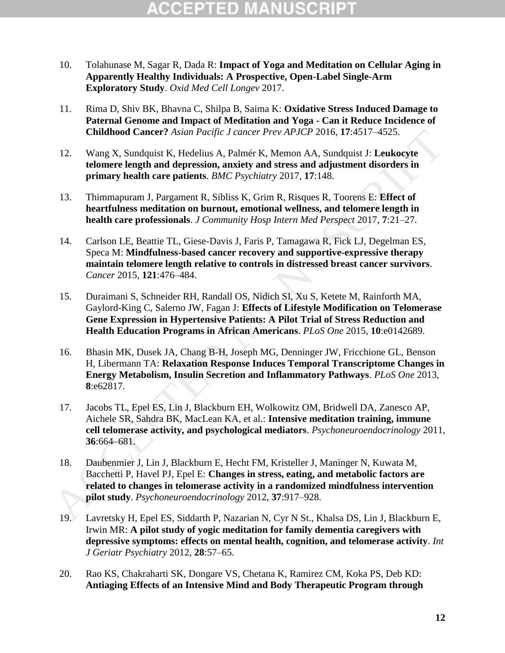- 10. Tolahunase M, Sagar R, Dada R: **Impact of Yoga and Meditation on Cellular Aging in Apparently Healthy Individuals: A Prospective, Open-Label Single-Arm Exploratory Study**. *Oxid Med Cell Longev* 2017.
- 11. Rima D, Shiv BK, Bhavna C, Shilpa B, Saima K: **Oxidative Stress Induced Damage to Paternal Genome and Impact of Meditation and Yoga - Can it Reduce Incidence of Childhood Cancer?** *Asian Pacific J cancer Prev APJCP* 2016, **17**:4517–4525.
- 12. Wang X, Sundquist K, Hedelius A, Palmér K, Memon AA, Sundquist J: **Leukocyte telomere length and depression, anxiety and stress and adjustment disorders in primary health care patients**. *BMC Psychiatry* 2017, **17**:148.
- 13. Thimmapuram J, Pargament R, Sibliss K, Grim R, Risques R, Toorens E: **Effect of heartfulness meditation on burnout, emotional wellness, and telomere length in health care professionals**. *J Community Hosp Intern Med Perspect* 2017, **7**:21–27.
- 14. Carlson LE, Beattie TL, Giese-Davis J, Faris P, Tamagawa R, Fick LJ, Degelman ES, Speca M: **Mindfulness-based cancer recovery and supportive-expressive therapy maintain telomere length relative to controls in distressed breast cancer survivors**. *Cancer* 2015, **121**:476–484.
- 15. Duraimani S, Schneider RH, Randall OS, Nidich SI, Xu S, Ketete M, Rainforth MA, Gaylord-King C, Salerno JW, Fagan J: **Effects of Lifestyle Modification on Telomerase Gene Expression in Hypertensive Patients: A Pilot Trial of Stress Reduction and Health Education Programs in African Americans**. *PLoS One* 2015, **10**:e0142689.
- 16. Bhasin MK, Dusek JA, Chang B-H, Joseph MG, Denninger JW, Fricchione GL, Benson H, Libermann TA: **Relaxation Response Induces Temporal Transcriptome Changes in Energy Metabolism, Insulin Secretion and Inflammatory Pathways**. *PLoS One* 2013, **8**:e62817. Childhood Cancer? Asian Pacific J cancer Prev APJCP 2016, 17:4517-4525.<br>
12. Wang X, Sundapist K, Hedelius A, Palmér K, Memon AA, Sundapist J: Leukoeyte<br>
telomere length and depression, anxiety and stress and adjustment d
	- 17. Jacobs TL, Epel ES, Lin J, Blackburn EH, Wolkowitz OM, Bridwell DA, Zanesco AP, Aichele SR, Sahdra BK, MacLean KA, et al.: **Intensive meditation training, immune cell telomerase activity, and psychological mediators**. *Psychoneuroendocrinology* 2011, **36**:664–681.
	- 18. Daubenmier J, Lin J, Blackburn E, Hecht FM, Kristeller J, Maninger N, Kuwata M, Bacchetti P, Havel PJ, Epel E: **Changes in stress, eating, and metabolic factors are related to changes in telomerase activity in a randomized mindfulness intervention pilot study**. *Psychoneuroendocrinology* 2012, **37**:917–928.
	- 19. Lavretsky H, Epel ES, Siddarth P, Nazarian N, Cyr N St., Khalsa DS, Lin J, Blackburn E, Irwin MR: **A pilot study of yogic meditation for family dementia caregivers with depressive symptoms: effects on mental health, cognition, and telomerase activity**. *Int J Geriatr Psychiatry* 2012, **28**:57–65.
	- 20. Rao KS, Chakraharti SK, Dongare VS, Chetana K, Ramirez CM, Koka PS, Deb KD: **Antiaging Effects of an Intensive Mind and Body Therapeutic Program through**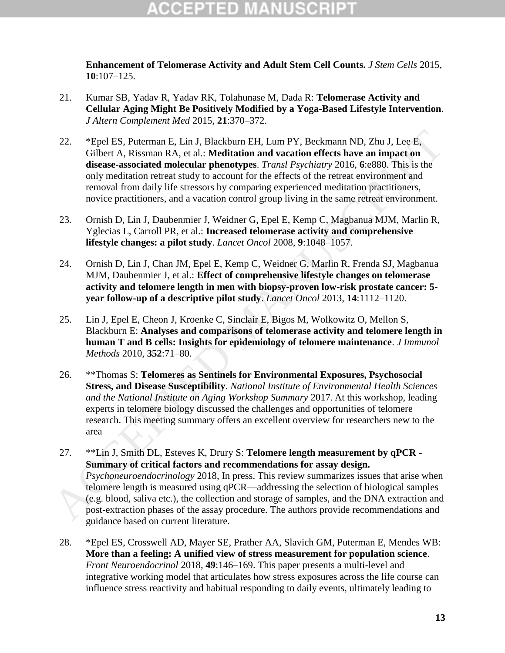**Enhancement of Telomerase Activity and Adult Stem Cell Counts.** *J Stem Cells* 2015, **10**:107–125.

- 21. Kumar SB, Yadav R, Yadav RK, Tolahunase M, Dada R: **Telomerase Activity and Cellular Aging Might Be Positively Modified by a Yoga-Based Lifestyle Intervention**. *J Altern Complement Med* 2015, **21**:370–372.
- 22. \*Epel ES, Puterman E, Lin J, Blackburn EH, Lum PY, Beckmann ND, Zhu J, Lee E, Gilbert A, Rissman RA, et al.: **Meditation and vacation effects have an impact on disease-associated molecular phenotypes**. *Transl Psychiatry* 2016, **6**:e880. This is the only meditation retreat study to account for the effects of the retreat environment and removal from daily life stressors by comparing experienced meditation practitioners, novice practitioners, and a vacation control group living in the same retreat environment.
- 23. Ornish D, Lin J, Daubenmier J, Weidner G, Epel E, Kemp C, Magbanua MJM, Marlin R, Yglecias L, Carroll PR, et al.: **Increased telomerase activity and comprehensive lifestyle changes: a pilot study**. *Lancet Oncol* 2008, **9**:1048–1057.
- 24. Ornish D, Lin J, Chan JM, Epel E, Kemp C, Weidner G, Marlin R, Frenda SJ, Magbanua MJM, Daubenmier J, et al.: **Effect of comprehensive lifestyle changes on telomerase activity and telomere length in men with biopsy-proven low-risk prostate cancer: 5 year follow-up of a descriptive pilot study**. *Lancet Oncol* 2013, **14**:1112–1120.
- 25. Lin J, Epel E, Cheon J, Kroenke C, Sinclair E, Bigos M, Wolkowitz O, Mellon S, Blackburn E: **Analyses and comparisons of telomerase activity and telomere length in human T and B cells: Insights for epidemiology of telomere maintenance**. *J Immunol Methods* 2010, **352**:71–80.
- 26. \*\*Thomas S: **Telomeres as Sentinels for Environmental Exposures, Psychosocial Stress, and Disease Susceptibility**. *National Institute of Environmental Health Sciences and the National Institute on Aging Workshop Summary* 2017*.* At this workshop, leading experts in telomere biology discussed the challenges and opportunities of telomere research. This meeting summary offers an excellent overview for researchers new to the area
- 27. \*\*Lin J, Smith DL, Esteves K, Drury S: **Telomere length measurement by qPCR - Summary of critical factors and recommendations for assay design.** *Psychoneuroendocrinology* 2018, In press. This review summarizes issues that arise when telomere length is measured using qPCR—addressing the selection of biological samples (e.g. blood, saliva etc.), the collection and storage of samples, and the DNA extraction and post-extraction phases of the assay procedure. The authors provide recommendations and guidance based on current literature. 22. **\***Fipel FS, Puterman E, 1.in J, Blackburn EH, 1.mn PY, Beckmann ND, Zhu J, Lee E,<br>
Gilbert A, Rissman RAA, et al.: **Meditation and vacation effects have an inpact on**<br> **Gilbert** A, Rissman RAA, et al.: **Meditation an** 
	- 28. \*Epel ES, Crosswell AD, Mayer SE, Prather AA, Slavich GM, Puterman E, Mendes WB: **More than a feeling: A unified view of stress measurement for population science**. *Front Neuroendocrinol* 2018, **49**:146–169. This paper presents a multi-level and integrative working model that articulates how stress exposures across the life course can influence stress reactivity and habitual responding to daily events, ultimately leading to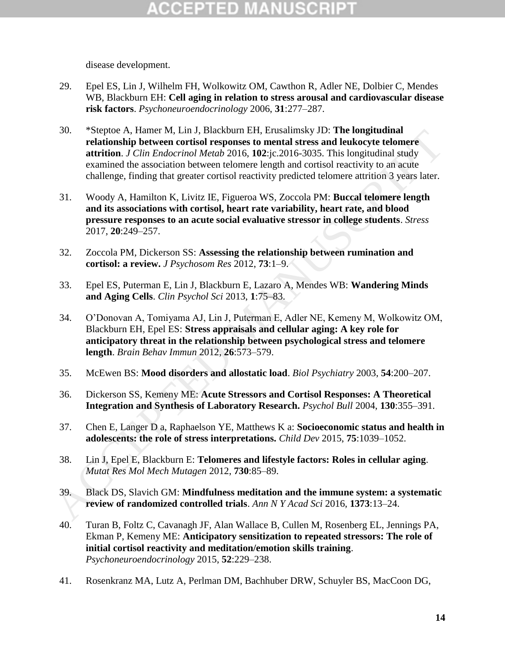disease development.

- 29. Epel ES, Lin J, Wilhelm FH, Wolkowitz OM, Cawthon R, Adler NE, Dolbier C, Mendes WB, Blackburn EH: **Cell aging in relation to stress arousal and cardiovascular disease risk factors**. *Psychoneuroendocrinology* 2006, **31**:277–287.
- 30. \*Steptoe A, Hamer M, Lin J, Blackburn EH, Erusalimsky JD: **The longitudinal relationship between cortisol responses to mental stress and leukocyte telomere attrition**. *J Clin Endocrinol Metab* 2016, **102**:jc.2016-3035. This longitudinal study examined the association between telomere length and cortisol reactivity to an acute challenge, finding that greater cortisol reactivity predicted telomere attrition 3 years later. 30. Superbe A, Hannet M, Lan J. Blackburn EH; Erusalmnsky JD: The Iongituannia study<br>
relationship between cortisol responses to mental stress and leukocyte telomere<br>
artitrion. *JCUm-Endocrived Metab 2016*, 102:<sub>1</sub>:2016-
	- 31. Woody A, Hamilton K, Livitz IE, Figueroa WS, Zoccola PM: **Buccal telomere length and its associations with cortisol, heart rate variability, heart rate, and blood pressure responses to an acute social evaluative stressor in college students**. *Stress* 2017, **20**:249–257.
	- 32. Zoccola PM, Dickerson SS: **Assessing the relationship between rumination and cortisol: a review.** *J Psychosom Res* 2012, **73**:1–9.
	- 33. Epel ES, Puterman E, Lin J, Blackburn E, Lazaro A, Mendes WB: **Wandering Minds and Aging Cells**. *Clin Psychol Sci* 2013, **1**:75–83.
	- 34. O'Donovan A, Tomiyama AJ, Lin J, Puterman E, Adler NE, Kemeny M, Wolkowitz OM, Blackburn EH, Epel ES: **Stress appraisals and cellular aging: A key role for anticipatory threat in the relationship between psychological stress and telomere length**. *Brain Behav Immun* 2012, **26**:573–579.
	- 35. McEwen BS: **Mood disorders and allostatic load**. *Biol Psychiatry* 2003, **54**:200–207.
	- 36. Dickerson SS, Kemeny ME: **Acute Stressors and Cortisol Responses: A Theoretical Integration and Synthesis of Laboratory Research.** *Psychol Bull* 2004, **130**:355–391.
	- 37. Chen E, Langer D a, Raphaelson YE, Matthews K a: **Socioeconomic status and health in adolescents: the role of stress interpretations.** *Child Dev* 2015, **75**:1039–1052.
	- 38. Lin J, Epel E, Blackburn E: **Telomeres and lifestyle factors: Roles in cellular aging**. *Mutat Res Mol Mech Mutagen* 2012, **730**:85–89.
	- 39. Black DS, Slavich GM: **Mindfulness meditation and the immune system: a systematic review of randomized controlled trials**. *Ann N Y Acad Sci* 2016, **1373**:13–24.
	- 40. Turan B, Foltz C, Cavanagh JF, Alan Wallace B, Cullen M, Rosenberg EL, Jennings PA, Ekman P, Kemeny ME: **Anticipatory sensitization to repeated stressors: The role of initial cortisol reactivity and meditation/emotion skills training**. *Psychoneuroendocrinology* 2015, **52**:229–238.
	- 41. Rosenkranz MA, Lutz A, Perlman DM, Bachhuber DRW, Schuyler BS, MacCoon DG,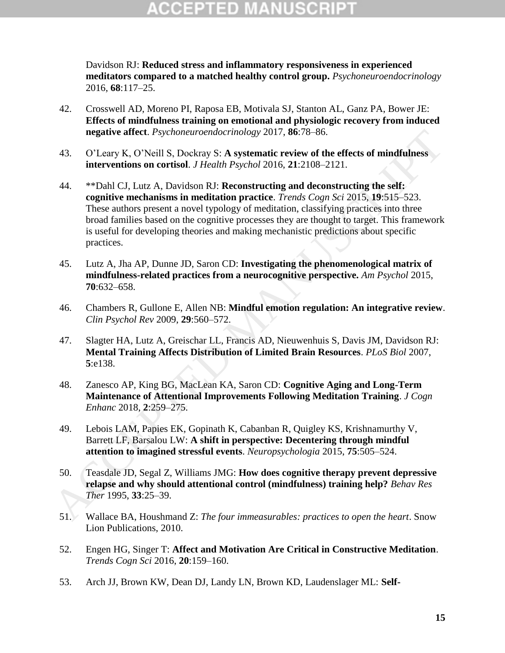# (CEPTED)

Davidson RJ: **Reduced stress and inflammatory responsiveness in experienced meditators compared to a matched healthy control group.** *Psychoneuroendocrinology* 2016, **68**:117–25.

- 42. Crosswell AD, Moreno PI, Raposa EB, Motivala SJ, Stanton AL, Ganz PA, Bower JE: **Effects of mindfulness training on emotional and physiologic recovery from induced negative affect**. *Psychoneuroendocrinology* 2017, **86**:78–86.
- 43. O'Leary K, O'Neill S, Dockray S: **A systematic review of the effects of mindfulness interventions on cortisol**. *J Health Psychol* 2016, **21**:2108–2121.
- 44. \*\*Dahl CJ, Lutz A, Davidson RJ: **Reconstructing and deconstructing the self: cognitive mechanisms in meditation practice**. *Trends Cogn Sci* 2015, **19**:515–523. These authors present a novel typology of meditation, classifying practices into three broad families based on the cognitive processes they are thought to target. This framework is useful for developing theories and making mechanistic predictions about specific practices. magnitive affect. Psychoneuroendocrinology 2017, 86-78-86.<br>
43. OTeary K, ONEill S, Dockray S: A systematic review of the effects of mindfulness<br>
interventions on cortisol. *Health Psychol* 2016, 21:2108-2121.<br>
44. <sup>\*\*</sup>Pl
	- 45. Lutz A, Jha AP, Dunne JD, Saron CD: **Investigating the phenomenological matrix of mindfulness-related practices from a neurocognitive perspective.** *Am Psychol* 2015, **70**:632–658.
	- 46. Chambers R, Gullone E, Allen NB: **Mindful emotion regulation: An integrative review**. *Clin Psychol Rev* 2009, **29**:560–572.
	- 47. Slagter HA, Lutz A, Greischar LL, Francis AD, Nieuwenhuis S, Davis JM, Davidson RJ: **Mental Training Affects Distribution of Limited Brain Resources**. *PLoS Biol* 2007, **5**:e138.
	- 48. Zanesco AP, King BG, MacLean KA, Saron CD: **Cognitive Aging and Long-Term Maintenance of Attentional Improvements Following Meditation Training**. *J Cogn Enhanc* 2018, **2**:259–275.
	- 49. Lebois LAM, Papies EK, Gopinath K, Cabanban R, Quigley KS, Krishnamurthy V, Barrett LF, Barsalou LW: **A shift in perspective: Decentering through mindful attention to imagined stressful events**. *Neuropsychologia* 2015, **75**:505–524.
	- 50. Teasdale JD, Segal Z, Williams JMG: **How does cognitive therapy prevent depressive relapse and why should attentional control (mindfulness) training help?** *Behav Res Ther* 1995, **33**:25–39.
	- 51. Wallace BA, Houshmand Z: *The four immeasurables: practices to open the heart*. Snow Lion Publications, 2010.
	- 52. Engen HG, Singer T: **Affect and Motivation Are Critical in Constructive Meditation**. *Trends Cogn Sci* 2016, **20**:159–160.
	- 53. Arch JJ, Brown KW, Dean DJ, Landy LN, Brown KD, Laudenslager ML: **Self-**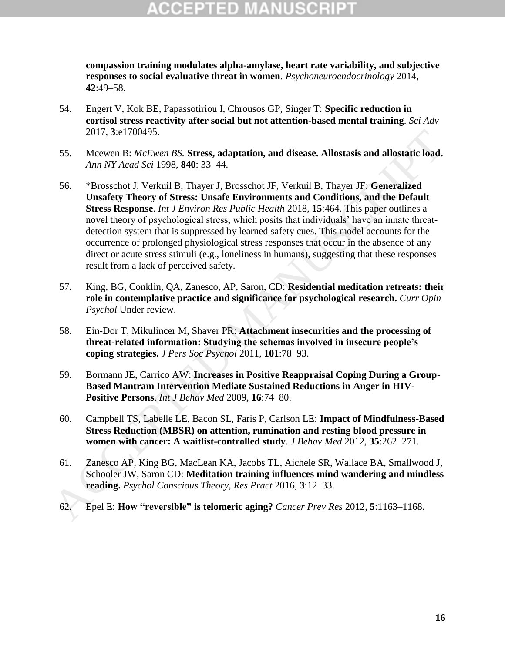# (CEPTED)

**compassion training modulates alpha-amylase, heart rate variability, and subjective responses to social evaluative threat in women**. *Psychoneuroendocrinology* 2014, **42**:49–58.

- 54. Engert V, Kok BE, Papassotiriou I, Chrousos GP, Singer T: **Specific reduction in cortisol stress reactivity after social but not attention-based mental training**. *Sci Adv* 2017, **3**:e1700495.
- 55. Mcewen B: *McEwen BS.* **Stress, adaptation, and disease. Allostasis and allostatic load.** *Ann NY Acad Sci* 1998, **840**: 33–44.
- 56. \*Brosschot J, Verkuil B, Thayer J, Brosschot JF, Verkuil B, Thayer JF: **Generalized Unsafety Theory of Stress: Unsafe Environments and Conditions, and the Default Stress Response**. *Int J Environ Res Public Health* 2018, **15**:464. This paper outlines a novel theory of psychological stress, which posits that individuals' have an innate threatdetection system that is suppressed by learned safety cues. This model accounts for the occurrence of prolonged physiological stress responses that occur in the absence of any direct or acute stress stimuli (e.g., loneliness in humans), suggesting that these responses result from a lack of perceived safety. 2017, 3:e1700495.<br>
55. Meetwon B: McEwen BS. Stress, adaptation, and disease. Allostasis and allostatic load.<br>
Ann NY Acca/ Sci 1998, 840: 33-44.<br>
<sup>42</sup> Brosschot J, Verkuil B, Thayer J, Brosschot JF, Verkuil B, Thayer JF:
	- 57. King, BG, Conklin, QA, Zanesco, AP, Saron, CD: **Residential meditation retreats: their role in contemplative practice and significance for psychological research.** *Curr Opin Psychol* Under review.
	- 58. Ein-Dor T, Mikulincer M, Shaver PR: **Attachment insecurities and the processing of threat-related information: Studying the schemas involved in insecure people's coping strategies.** *J Pers Soc Psychol* 2011, **101**:78–93.
	- 59. Bormann JE, Carrico AW: **Increases in Positive Reappraisal Coping During a Group-Based Mantram Intervention Mediate Sustained Reductions in Anger in HIV-Positive Persons**. *Int J Behav Med* 2009, **16**:74–80.
	- 60. Campbell TS, Labelle LE, Bacon SL, Faris P, Carlson LE: **Impact of Mindfulness-Based Stress Reduction (MBSR) on attention, rumination and resting blood pressure in women with cancer: A waitlist-controlled study**. *J Behav Med* 2012, **35**:262–271.
	- 61. Zanesco AP, King BG, MacLean KA, Jacobs TL, Aichele SR, Wallace BA, Smallwood J, Schooler JW, Saron CD: **Meditation training influences mind wandering and mindless reading.** *Psychol Conscious Theory, Res Pract* 2016, **3**:12–33.
	-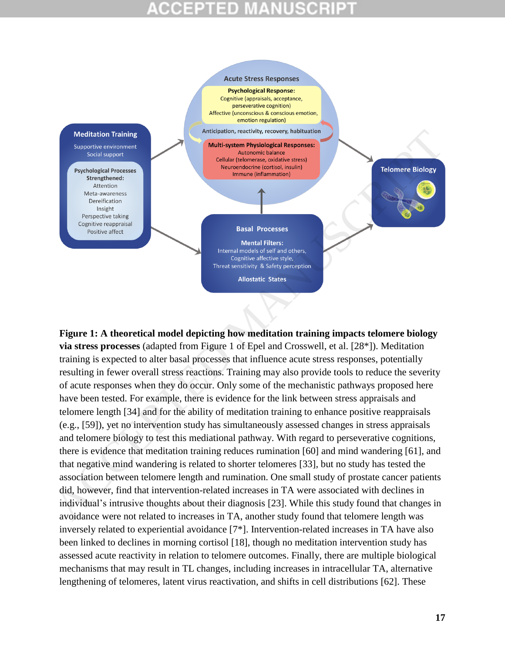# 3 D



**Figure 1: A theoretical model depicting how meditation training impacts telomere biology via stress processes** (adapted from Figure 1 of Epel and Crosswell, et al. [28\*]). Meditation training is expected to alter basal processes that influence acute stress responses, potentially resulting in fewer overall stress reactions. Training may also provide tools to reduce the severity of acute responses when they do occur. Only some of the mechanistic pathways proposed here have been tested. For example, there is evidence for the link between stress appraisals and telomere length [34] and for the ability of meditation training to enhance positive reappraisals (e.g., [59]), yet no intervention study has simultaneously assessed changes in stress appraisals and telomere biology to test this mediational pathway. With regard to perseverative cognitions, there is evidence that meditation training reduces rumination [60] and mind wandering [61], and that negative mind wandering is related to shorter telomeres [33], but no study has tested the association between telomere length and rumination. One small study of prostate cancer patients did, however, find that intervention-related increases in TA were associated with declines in individual's intrusive thoughts about their diagnosis [23]. While this study found that changes in avoidance were not related to increases in TA, another study found that telomere length was inversely related to experiential avoidance [7\*]. Intervention-related increases in TA have also been linked to declines in morning cortisol [18], though no meditation intervention study has assessed acute reactivity in relation to telomere outcomes. Finally, there are multiple biological mechanisms that may result in TL changes, including increases in intracellular TA, alternative lengthening of telomeres, latent virus reactivation, and shifts in cell distributions [62]. These Medition Tableting Research and Harmonic Columns (and the state of the state of the state of the state of the state of the state of the state of the state of the state of the state of the state of the state of the state of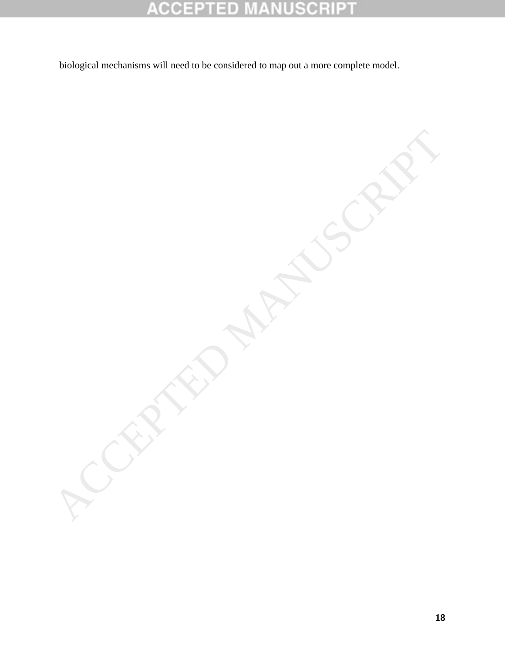### **CCEPTED NUSCRIP1** M Ŧ Ŧ

ACCEPTED MANUSCRIPT

biological mechanisms will need to be considered to map out a more complete model.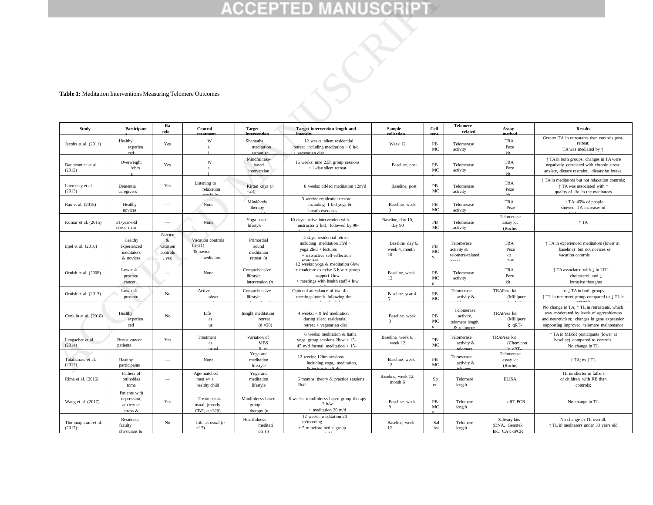### **Table 1:** Meditation Interventions Measuring Telomere Outcomes

|                                                                                         |                                                        |                                                |                                                         |                                                    | <b>ACCEPTED MANUSCRIPT</b>                                                                                                    |                                         |                   |                                                          |                                                   |                                                                                                                                                                                             |
|-----------------------------------------------------------------------------------------|--------------------------------------------------------|------------------------------------------------|---------------------------------------------------------|----------------------------------------------------|-------------------------------------------------------------------------------------------------------------------------------|-----------------------------------------|-------------------|----------------------------------------------------------|---------------------------------------------------|---------------------------------------------------------------------------------------------------------------------------------------------------------------------------------------------|
| Table 1: Meditation Interventions Measuring Telomere Outcomes<br>Ra<br><b>Telomere-</b> |                                                        |                                                |                                                         |                                                    |                                                                                                                               |                                         |                   |                                                          |                                                   |                                                                                                                                                                                             |
| Study                                                                                   | Participant                                            | ndo                                            | Control                                                 | <b>Target</b>                                      | <b>Target intervention length and</b>                                                                                         | <b>Sample</b>                           | <b>Cell</b>       | related                                                  | Assay                                             | <b>Results</b>                                                                                                                                                                              |
| Jacobs et al. (2011)                                                                    | Healthy<br>experien                                    | Yes                                            | W<br>a                                                  | Shamatha<br>meditation<br>retreat (s               | 12 weeks: silent residential<br>retreat including meditation $\sim 6$ h/d<br>vegetarian diet                                  | Week 12                                 | PB<br>MC          | Telomerase<br>activity                                   | TRA<br>Peze<br><b>Lit</b>                         | Greater TA in retreatants than controls post-<br>retreat;<br>TA was mediated by $\uparrow$                                                                                                  |
| Daubenmier et al.<br>(2012)                                                             | Overweight<br>/obes                                    | Yes                                            | W<br>a                                                  | Mindfulness-<br>based<br>intervention              | 16 weeks: nine 2.5h group sessions<br>+ 1-day silent retreat                                                                  | Baseline, post                          | PB<br>MC          | Telomerase<br>activity                                   | TRA<br>Peze<br><b>Vit</b>                         | ↑ TA in both groups; changes in TA were<br>negatively correlated with chronic stress,<br>anxiety, dietary restraint, dietary fat intake,                                                    |
| Lavretsky et al.<br>(2013)                                                              | Dementia<br>caregivers                                 | Yes                                            | Listening to<br>relaxation                              | Kirtan kriya (n<br>$=23$                           | 8 weeks: cd-led meditation 12m/d                                                                                              | Baseline, post                          | $_{\rm PB}$<br>MC | Telomerase<br>activity                                   | TRA<br>Peze                                       | ↑ TA in meditators but not relaxation controls;<br>↑ TA was associated with ↑<br>quality of life in the meditators                                                                          |
| Rao et al. (2015)                                                                       | Healthy<br>novices                                     | $\overline{\phantom{a}}$                       | None                                                    | Mind/body<br>therapy                               | 3 weeks: residential retreat<br>including 1 h/d yoga &<br>breath exercises                                                    | Baseline, week<br>3                     | PB<br>MC          | Telomerase<br>activity                                   | <b>TRA</b><br>Peze                                | ↑ TA: 45% of people<br>showed TA increases of                                                                                                                                               |
| Kumar et al. (2015)                                                                     | 31-year-old<br>obese man                               | $\hspace{0.1mm}-\hspace{0.1mm}$                | None                                                    | Yoga-based<br>lifestyle                            | 10 days: active intervention with<br>instructor 2 h/d, followed by 90-                                                        | Baseline, day 10,<br>day 90             | $_{\rm PB}$<br>MC | Telomerase<br>activity                                   | Telomerase<br>assay kit<br>(Roche,                | $\uparrow$ TA                                                                                                                                                                               |
| Epel et al. (2016)                                                                      | Healthy<br>experienced<br>meditators<br>& novices      | Novice<br>$\&$<br>vacation<br>controls<br>yes; | Vacation controls<br>$(n=31)$<br>& novice<br>meditators | Primordial<br>sound<br>meditation<br>retreat $(n)$ | 4 days: residential retreat<br>including meditation $3h/d +$<br>yoga 2h/d + lectures<br>+ interactive self-reflection         | Baseline, day 6,<br>week 4, month<br>10 | PB<br>MC<br>s     | Telomerase<br>activity &<br>telomere-related             | <b>TRA</b><br>Peze<br>kit                         | ↑ TA in experienced meditators (lower at<br>baseline) but not novices or<br>vacation controls                                                                                               |
| Ornish et al. (2008)                                                                    | Low-risk<br>prostate<br>cancer                         |                                                | None                                                    | Comprehensive<br>lifestyle<br>intervention $(n)$   | 12 weeks: yoga & meditation 6h/w<br>$+$ moderate exercise 3 h/w + group<br>support 1h/w<br>+ meetings with health staff 4 h/w | Baseline, week<br>12                    | PB<br>MC          | Telomerase<br>activity                                   | <b>TRA</b><br>Peze<br>kit                         | ↑ TA associated with ↓ in LDL<br>cholesterol and $\downarrow$<br>intrusive thoughts                                                                                                         |
| Ornish et al. (2013)                                                                    | Low-risk<br>prostate                                   | No                                             | Active<br>obser                                         | Comprehensive<br>lifestyle                         | Optional attendance of two 4h<br>meetings/month following the                                                                 | Baseline, year 4-<br>5                  | PB<br>MC          | Telomerase<br>activity &                                 | TRAPeze kit<br>(Millipore                         | ns $\downarrow$ TA in both groups<br>↑ TL in treatment group compared to ↓ TL in                                                                                                            |
| Conklin et al. (2018)                                                                   | Healthy<br>experien<br>ced                             | No                                             | Life<br>as<br>us                                        | Insight meditation<br>retreat<br>$(n=28)$          | 4 weeks: $\sim$ 9 h/d meditation<br>during silent residential<br>retreat + vegetarian diet                                    | Baseline, week<br>3                     | PB<br>МC          | Telomerase<br>activity,<br>telomere length,<br>$k$ telon | <b>TRAPeze</b> kit<br>(Millipore<br>$);$ qRT-     | No change in TA; $\uparrow$ TL in retreatants, which<br>was moderated by levels of agreeableness<br>and neuroticism; changes in gene expression<br>supporting improved telomere maintenance |
| Lengacher et al.<br>(2014)                                                              | Breast cancer<br>patients                              | Yes                                            | Treatment<br>as                                         | Variation of<br>MBS                                | 6 weeks: meditation & hatha<br>yoga group sessions $2h/w + 15$ -<br>45 m/d formal meditation + $15-$                          | Baseline, week 6,<br>week 12            | PB<br>MC          | Telomerase<br>activity &                                 | TRAPeze kit<br>(Chemicon<br>aRT                   | ↑ TA in MBSR participants (lower at<br>baseline) compared to controls;<br>No change in TL                                                                                                   |
| Tolahunase et al.<br>(2017)                                                             | Healthy<br>participants                                | $\overline{\phantom{m}}$                       | None                                                    | Yoga and<br>meditation<br>lifestyle                | 12 weeks: 120m sessions<br>including yoga, meditation,                                                                        | Baseline, week<br>12                    | PB<br>MC          | Telomerase<br>activity &                                 | Telomerase<br>assay kit<br>(Roche,                | $\uparrow$ TA; ns $\uparrow$ TL                                                                                                                                                             |
| Rima et al. (2016)                                                                      | Fathers of<br>retinoblas<br>toma                       | $\overline{\phantom{m}}$                       | Age-matched<br>men w/ a<br>healthy child                | Yoga and<br>meditation<br>lifestyle                | 6 months: theory & practice sessions<br>2h/d                                                                                  | Baseline, week 12,<br>month 6           | Sp<br>er          | Telomere<br>length                                       | <b>ELISA</b>                                      | TL ns shorter in fathers<br>of children with RB than<br>controls;                                                                                                                           |
| Wang et al. (2017)                                                                      | Patients with<br>depression,<br>anxiety or<br>stress & | Yes                                            | Treatment as<br>usual (mostly<br>CBT; $n = 320$ )       | Mindfulness-based<br>group<br>therapy $(n)$        | 8 weeks: mindfulness-based group therapy<br>2 h/w<br>$+$ meditation 20 m/d                                                    | Baseline, week<br>8                     | PB<br>MC          | Telomere<br>length                                       | qRT-PCR                                           | No change in TL                                                                                                                                                                             |
| Thimmapuram et al.<br>(2017)                                                            | Residents,<br>faculty<br>physicians &                  | $_{\rm No}$                                    | Life as usual $(n)$<br>$=12$                            | Heartfulness<br>meditati<br>on (n                  | 12 weeks: meditation 20<br>m/morning<br>$+5$ m before bed $+$ group                                                           | Baseline, week<br>12                    | Sal<br>iva        | Telomere<br>length                                       | Salivary kits<br>(DNA, Genotek<br>Inc., CA): aPCR | No change in TL overall;<br><sup>1</sup> TL in meditators under 33 years old                                                                                                                |